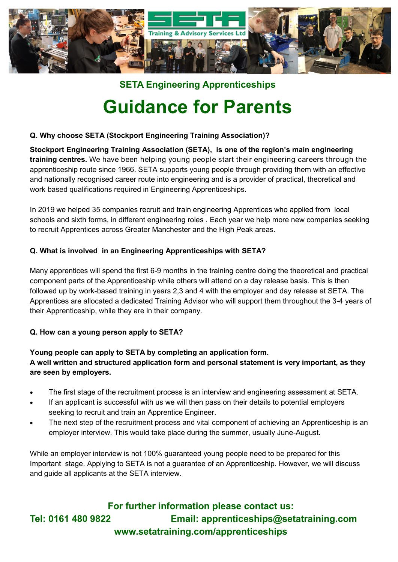

**SETA Engineering Apprenticeships**

# **Guidance for Parents**

#### **Q. Why choose SETA (Stockport Engineering Training Association)?**

**Stockport Engineering Training Association (SETA), is one of the region's main engineering training centres.** We have been helping young people start their engineering careers through the apprenticeship route since 1966. SETA supports young people through providing them with an effective and nationally recognised career route into engineering and is a provider of practical, theoretical and work based qualifications required in Engineering Apprenticeships.

In 2019 we helped 35 companies recruit and train engineering Apprentices who applied from local schools and sixth forms, in different engineering roles . Each year we help more new companies seeking to recruit Apprentices across Greater Manchester and the High Peak areas.

#### **Q. What is involved in an Engineering Apprenticeships with SETA?**

Many apprentices will spend the first 6-9 months in the training centre doing the theoretical and practical component parts of the Apprenticeship while others will attend on a day release basis. This is then followed up by work-based training in years 2,3 and 4 with the employer and day release at SETA. The Apprentices are allocated a dedicated Training Advisor who will support them throughout the 3-4 years of their Apprenticeship, while they are in their company.

### **Q. How can a young person apply to SETA?**

### **Young people can apply to SETA by completing an application form. A well written and structured application form and personal statement is very important, as they are seen by employers.**

- The first stage of the recruitment process is an interview and engineering assessment at SETA.
- If an applicant is successful with us we will then pass on their details to potential employers seeking to recruit and train an Apprentice Engineer.
- The next step of the recruitment process and vital component of achieving an Apprenticeship is an employer interview. This would take place during the summer, usually June-August.

While an employer interview is not 100% guaranteed young people need to be prepared for this Important stage. Applying to SETA is not a guarantee of an Apprenticeship. However, we will discuss and guide all applicants at the SETA interview.

**For further information please contact us: Tel: 0161 480 9822 Email: apprenticeships@setatraining.com www.setatraining.com/apprenticeships**